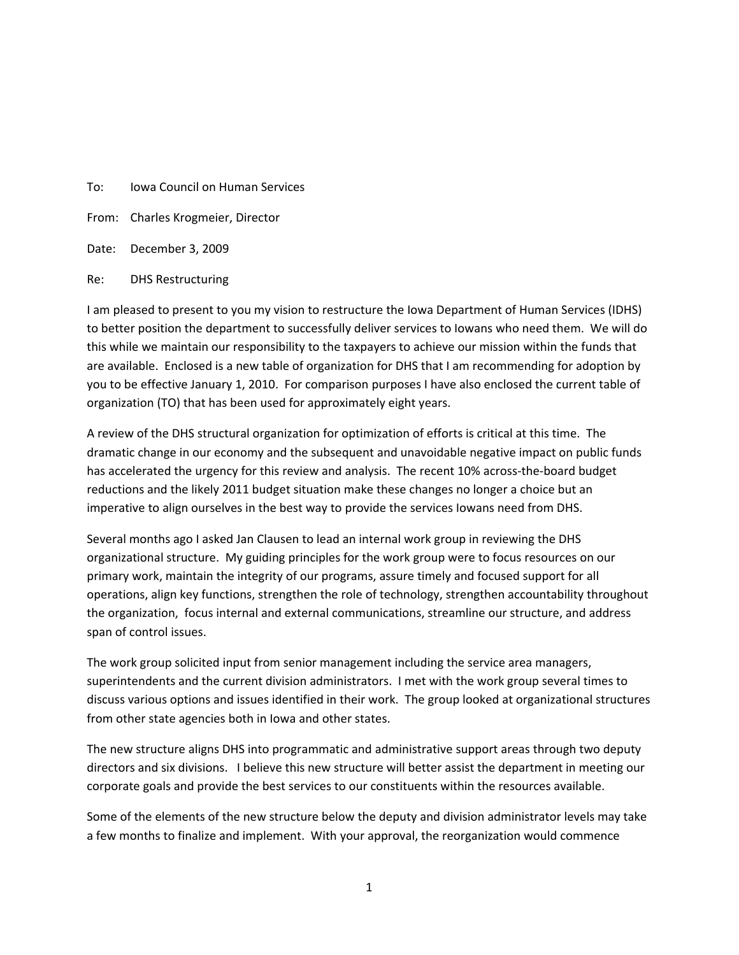#### To: Iowa Council on Human Services

From: Charles Krogmeier, Director

Date: December 3, 2009

Re: DHS Restructuring

I am pleased to present to you my vision to restructure the Iowa Department of Human Services (IDHS) to better position the department to successfully deliver services to Iowans who need them. We will do this while we maintain our responsibility to the taxpayers to achieve our mission within the funds that are available. Enclosed is a new table of organization for DHS that I am recommending for adoption by you to be effective January 1, 2010. For comparison purposes I have also enclosed the current table of organization (TO) that has been used for approximately eight years.

A review of the DHS structural organization for optimization of efforts is critical at this time. The dramatic change in our economy and the subsequent and unavoidable negative impact on public funds has accelerated the urgency for this review and analysis. The recent 10% across-the-board budget reductions and the likely 2011 budget situation make these changes no longer a choice but an imperative to align ourselves in the best way to provide the services Iowans need from DHS.

Several months ago I asked Jan Clausen to lead an internal work group in reviewing the DHS organizational structure. My guiding principles for the work group were to focus resources on our primary work, maintain the integrity of our programs, assure timely and focused support for all operations, align key functions, strengthen the role of technology, strengthen accountability throughout the organization, focus internal and external communications, streamline our structure, and address span of control issues.

The work group solicited input from senior management including the service area managers, superintendents and the current division administrators. I met with the work group several times to discuss various options and issues identified in their work. The group looked at organizational structures from other state agencies both in Iowa and other states.

The new structure aligns DHS into programmatic and administrative support areas through two deputy directors and six divisions. I believe this new structure will better assist the department in meeting our corporate goals and provide the best services to our constituents within the resources available.

Some of the elements of the new structure below the deputy and division administrator levels may take a few months to finalize and implement. With your approval, the reorganization would commence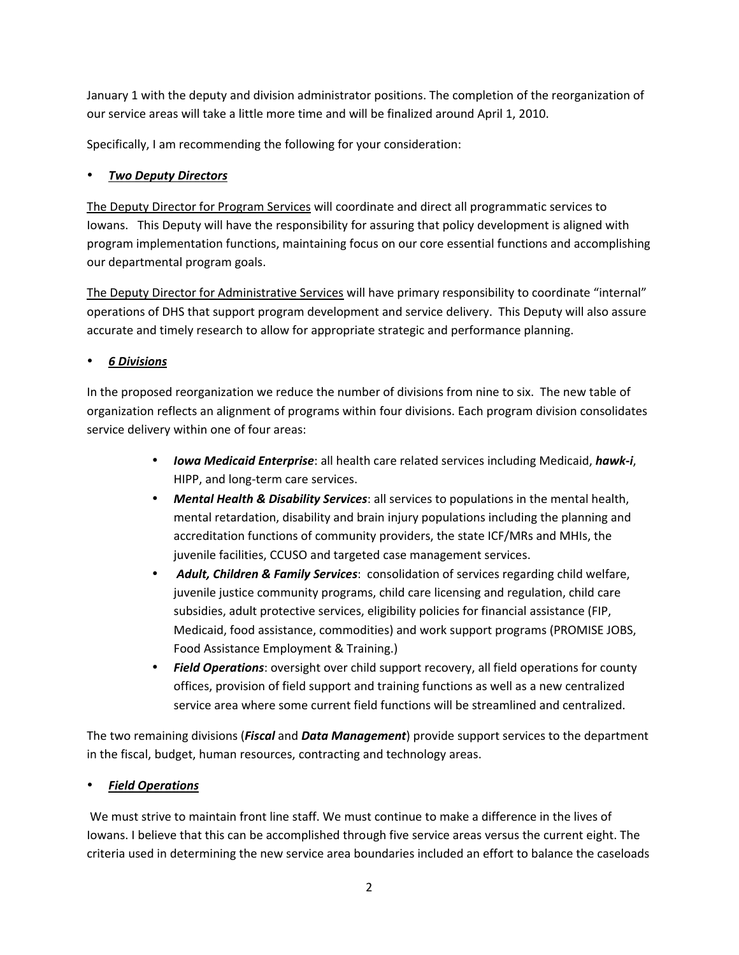January 1 with the deputy and division administrator positions. The completion of the reorganization of our service areas will take a little more time and will be finalized around April 1, 2010.

Specifically, I am recommending the following for your consideration:

#### *Two Deputy Directors*

The Deputy Director for Program Services will coordinate and direct all programmatic services to Iowans. This Deputy will have the responsibility for assuring that policy development is aligned with program implementation functions, maintaining focus on our core essential functions and accomplishing our departmental program goals.

The Deputy Director for Administrative Services will have primary responsibility to coordinate "internal" operations of DHS that support program development and service delivery. This Deputy will also assure accurate and timely research to allow for appropriate strategic and performance planning.

### *6 Divisions*

In the proposed reorganization we reduce the number of divisions from nine to six. The new table of organization reflects an alignment of programs within four divisions. Each program division consolidates service delivery within one of four areas:

- *Iowa Medicaid Enterprise*: all health care related services including Medicaid, *hawk-i*, HIPP, and long-term care services.
- *Mental Health & Disability Services*: all services to populations in the mental health, mental retardation, disability and brain injury populations including the planning and accreditation functions of community providers, the state ICF/MRs and MHIs, the juvenile facilities, CCUSO and targeted case management services.
- *Adult, Children & Family Services*: consolidation of services regarding child welfare, juvenile justice community programs, child care licensing and regulation, child care subsidies, adult protective services, eligibility policies for financial assistance (FIP, Medicaid, food assistance, commodities) and work support programs (PROMISE JOBS, Food Assistance Employment & Training.)
- *Field Operations*: oversight over child support recovery, all field operations for county offices, provision of field support and training functions as well as a new centralized service area where some current field functions will be streamlined and centralized.

The two remaining divisions (*Fiscal* and *Data Management*) provide support services to the department in the fiscal, budget, human resources, contracting and technology areas.

### *Field Operations*

 We must strive to maintain front line staff. We must continue to make a difference in the lives of Iowans. I believe that this can be accomplished through five service areas versus the current eight. The criteria used in determining the new service area boundaries included an effort to balance the caseloads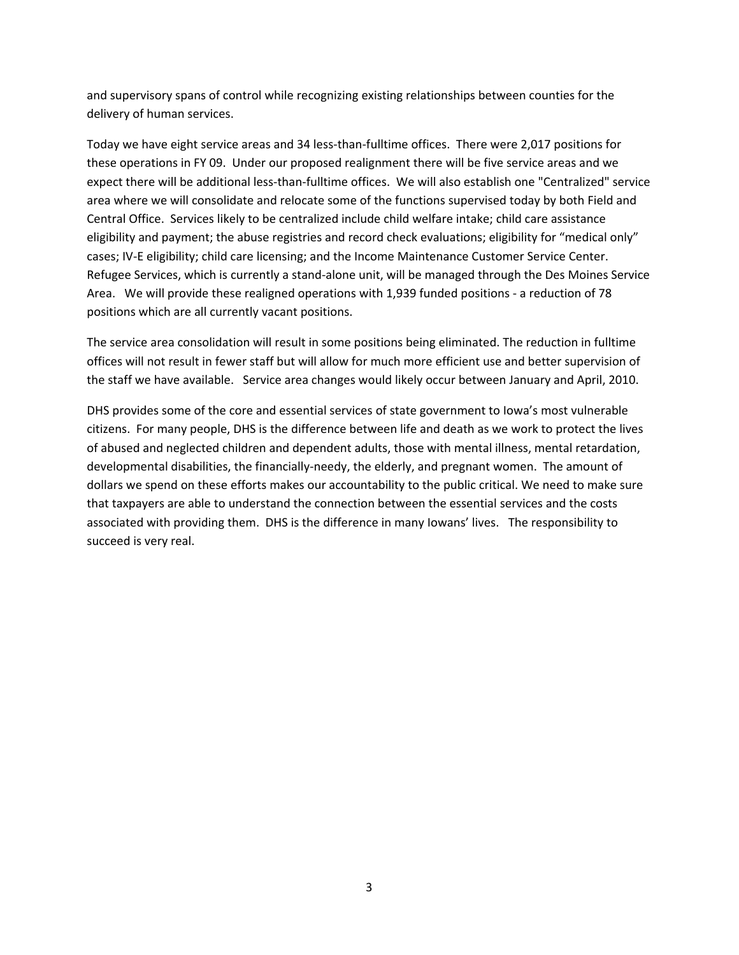and supervisory spans of control while recognizing existing relationships between counties for the delivery of human services.

Today we have eight service areas and 34 less-than-fulltime offices. There were 2,017 positions for these operations in FY 09. Under our proposed realignment there will be five service areas and we expect there will be additional less-than-fulltime offices. We will also establish one "Centralized" service area where we will consolidate and relocate some of the functions supervised today by both Field and Central Office. Services likely to be centralized include child welfare intake; child care assistance eligibility and payment; the abuse registries and record check evaluations; eligibility for "medical only" cases; IV-E eligibility; child care licensing; and the Income Maintenance Customer Service Center. Refugee Services, which is currently a stand-alone unit, will be managed through the Des Moines Service Area. We will provide these realigned operations with 1,939 funded positions - a reduction of 78 positions which are all currently vacant positions.

The service area consolidation will result in some positions being eliminated. The reduction in fulltime offices will not result in fewer staff but will allow for much more efficient use and better supervision of the staff we have available. Service area changes would likely occur between January and April, 2010.

DHS provides some of the core and essential services of state government to Iowa's most vulnerable citizens. For many people, DHS is the difference between life and death as we work to protect the lives of abused and neglected children and dependent adults, those with mental illness, mental retardation, developmental disabilities, the financially-needy, the elderly, and pregnant women. The amount of dollars we spend on these efforts makes our accountability to the public critical. We need to make sure that taxpayers are able to understand the connection between the essential services and the costs associated with providing them. DHS is the difference in many Iowans' lives. The responsibility to succeed is very real.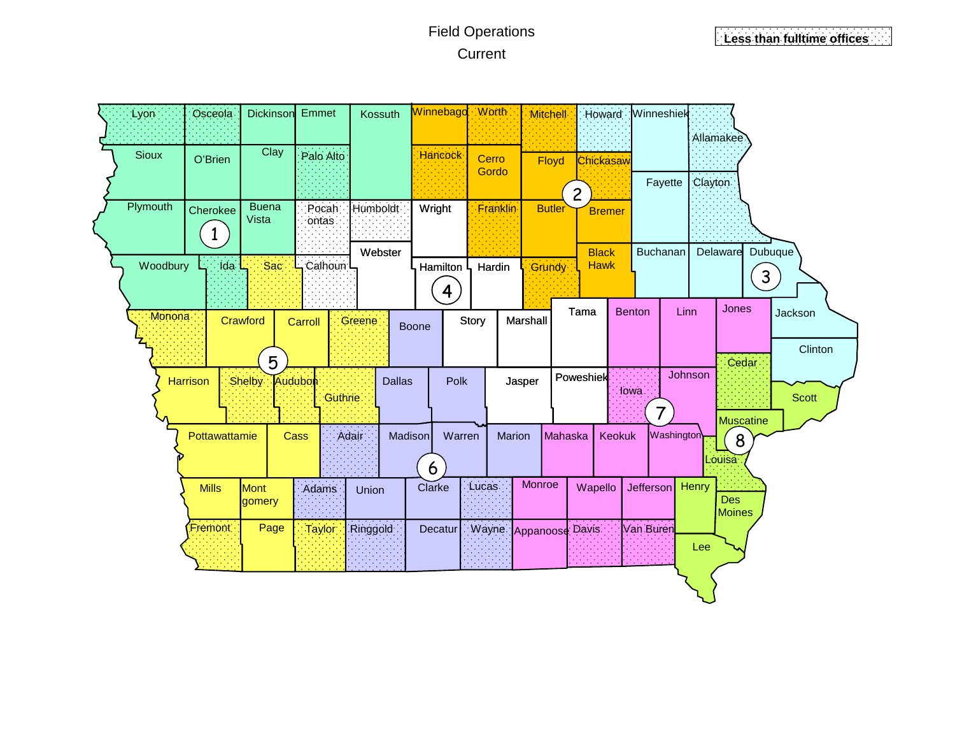# Field Operations Current

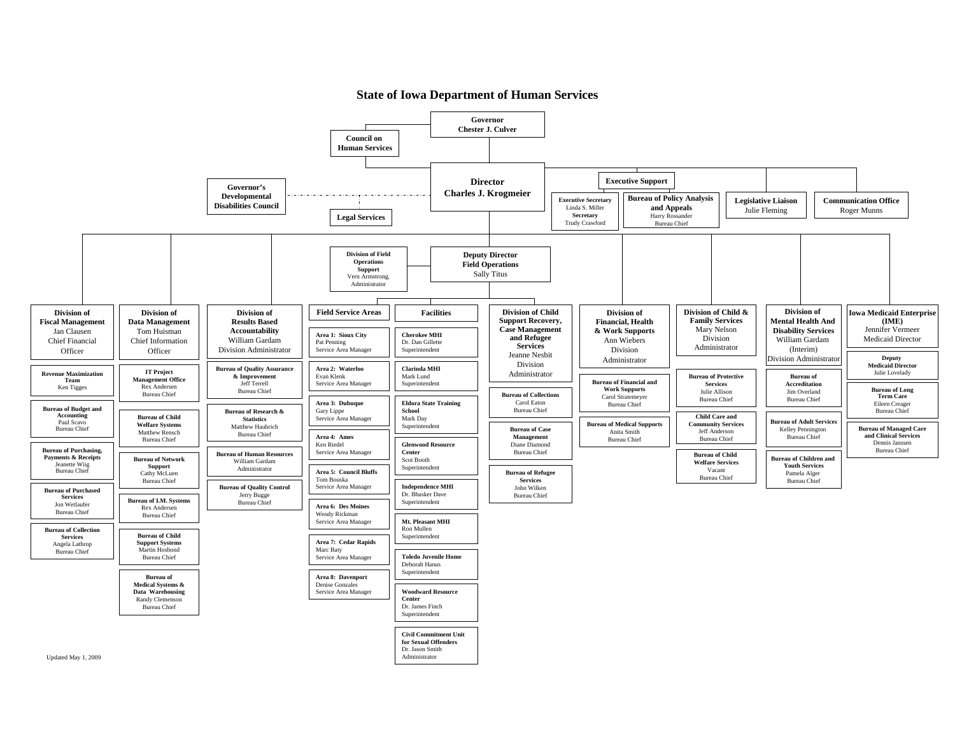#### **State of Iowa Department of Human Services**

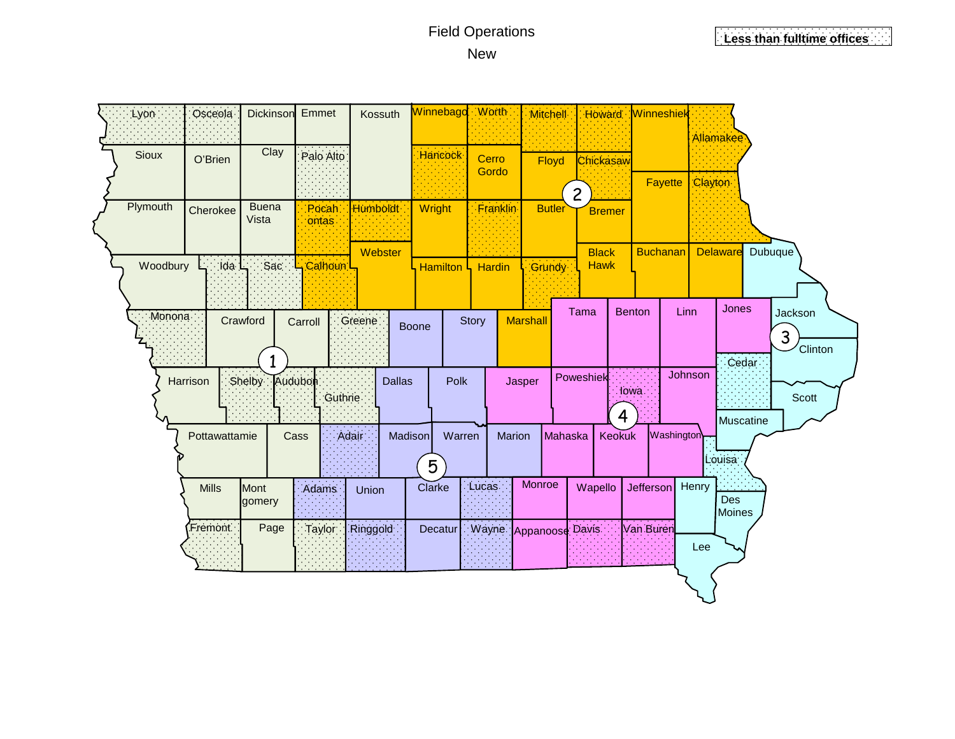## Field Operations New